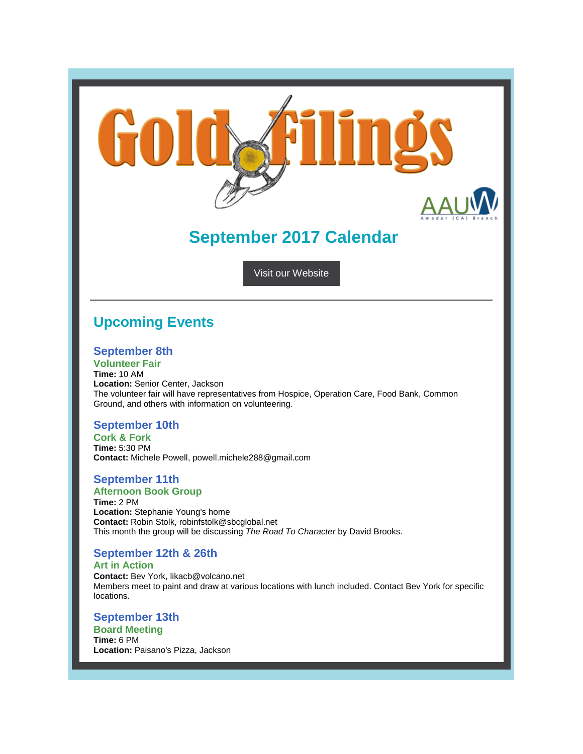

# **September 2017 Calendar**

[Visit our Website](http://amador-ca.aauw.net/)

## **Upcoming Events**

#### **September 8th**

**Volunteer Fair Time:** 10 AM **Location:** Senior Center, Jackson The volunteer fair will have representatives from Hospice, Operation Care, Food Bank, Common Ground, and others with information on volunteering.

#### **September 10th**

**Cork & Fork Time:** 5:30 PM **Contact:** Michele Powell, powell.michele288@gmail.com

#### **September 11th Afternoon Book Group**

**Time:** 2 PM **Location:** Stephanie Young's home **Contact:** Robin Stolk, robinfstolk@sbcglobal.net This month the group will be discussing *The Road To Character* by David Brooks.

### **September 12th & 26th**

**Art in Action Contact:** Bev York, likacb@volcano.net Members meet to paint and draw at various locations with lunch included. Contact Bev York for specific locations.

**September 13th Board Meeting Time:** 6 PM **Location:** Paisano's Pizza, Jackson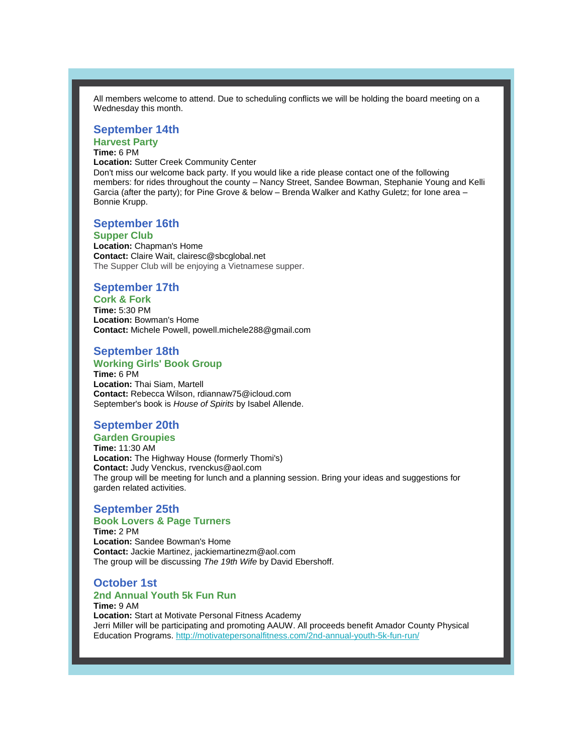All members welcome to attend. Due to scheduling conflicts we will be holding the board meeting on a Wednesday this month.

#### **September 14th**

## **Harvest Party**

### **Time:** 6 PM

**Location:** Sutter Creek Community Center

Don't miss our welcome back party. If you would like a ride please contact one of the following members: for rides throughout the county – Nancy Street, Sandee Bowman, Stephanie Young and Kelli Garcia (after the party); for Pine Grove & below – Brenda Walker and Kathy Guletz; for Ione area – Bonnie Krupp.

#### **September 16th**

#### **Supper Club**

**Location:** Chapman's Home **Contact:** Claire Wait, clairesc@sbcglobal.net The Supper Club will be enjoying a Vietnamese supper.

#### **September 17th**

**Cork & Fork Time:** 5:30 PM **Location:** Bowman's Home **Contact:** Michele Powell, powell.michele288@gmail.com

#### **September 18th**

#### **Working Girls' Book Group Time:** 6 PM

**Location:** Thai Siam, Martell **Contact:** Rebecca Wilson, rdiannaw75@icloud.com September's book is *House of Spirits* by Isabel Allende.

#### **September 20th**

**Garden Groupies Time:** 11:30 AM **Location:** The Highway House (formerly Thomi's) **Contact:** Judy Venckus, rvenckus@aol.com The group will be meeting for lunch and a planning session. Bring your ideas and suggestions for garden related activities.

#### **September 25th**

#### **Book Lovers & Page Turners**

**Time:** 2 PM **Location:** Sandee Bowman's Home **Contact:** Jackie Martinez, jackiemartinezm@aol.com The group will be discussing *The 19th Wife* by David Ebershoff.

#### **October 1st**

#### **2nd Annual Youth 5k Fun Run Time:** 9 AM **Location:** Start at Motivate Personal Fitness Academy Jerri Miller will be participating and promoting AAUW. All proceeds benefit Amador County Physical

Education Programs. <http://motivatepersonalfitness.com/2nd-annual-youth-5k-fun-run/>